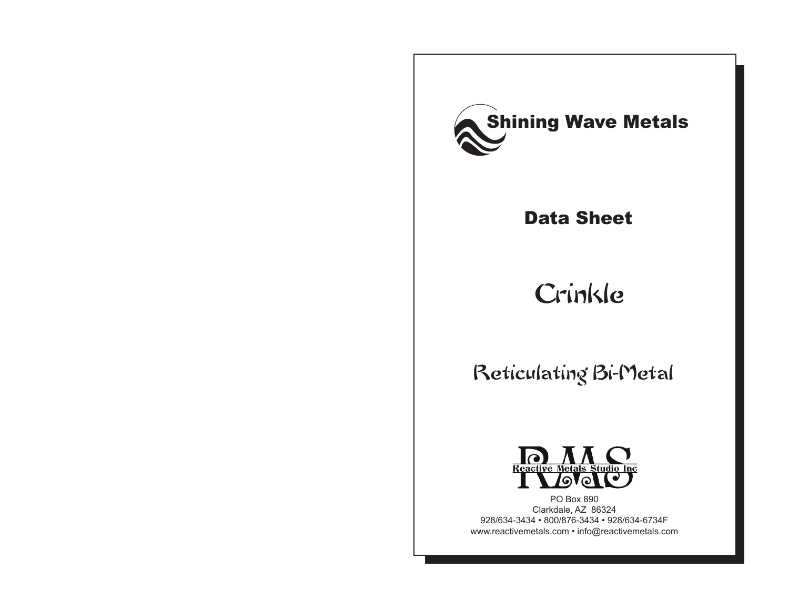

## Data Sheet

# Crinkle

## Reticulating Bi-Metal



PO Box 890 Clarkdale, AZ 86324 928/634-3434 • 800/876-3434 • 928/634-6734F www.reactivemetals.com • info@reactivemetals.com